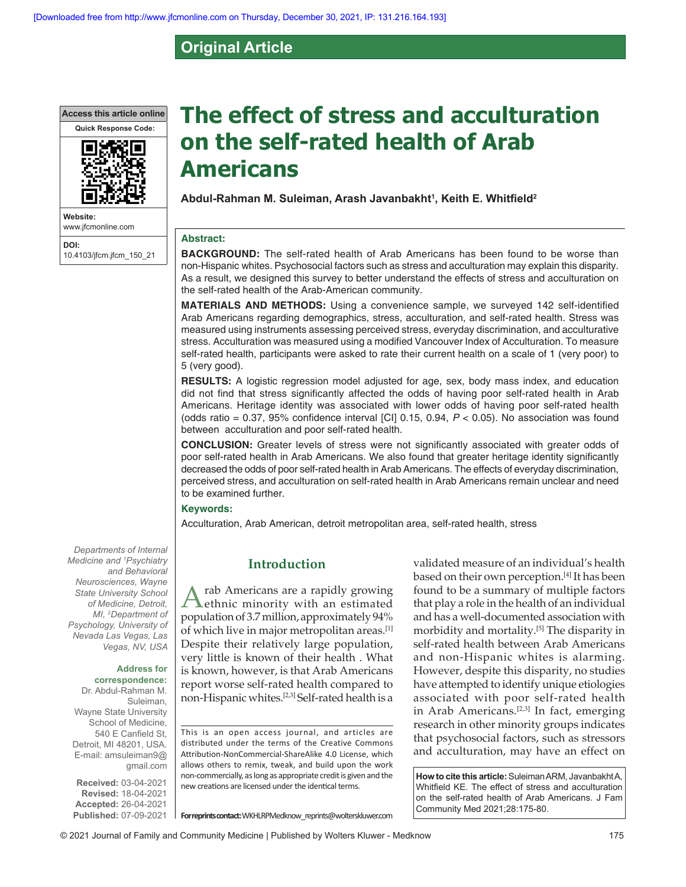# **Original Article**

**Access this article online**



**Website:** www.jfcmonline.com **DOI:** 10.4103/jfcm.jfcm\_150\_21

# **The effect of stress and acculturation on the self‑rated health of Arab Americans**

**Abdul-Rahman M. Suleiman, Arash Javanbakht<sup>1</sup> , Keith E. Whitfield<sup>2</sup>**

#### **Abstract:**

**BACKGROUND:** The self-rated health of Arab Americans has been found to be worse than non-Hispanic whites. Psychosocial factors such as stress and acculturation may explain this disparity. As a result, we designed this survey to better understand the effects of stress and acculturation on the self-rated health of the Arab-American community.

**MATERIALS AND METHODS:** Using a convenience sample, we surveyed 142 self‑identified Arab Americans regarding demographics, stress, acculturation, and self-rated health. Stress was measured using instruments assessing perceived stress, everyday discrimination, and acculturative stress. Acculturation was measured using a modified Vancouver Index of Acculturation. To measure self-rated health, participants were asked to rate their current health on a scale of 1 (very poor) to 5 (very good).

**RESULTS:** A logistic regression model adjusted for age, sex, body mass index, and education did not find that stress significantly affected the odds of having poor self-rated health in Arab Americans. Heritage identity was associated with lower odds of having poor self-rated health (odds ratio = 0.37, 95% confidence interval [CI] 0.15, 0.94, *P* < 0.05). No association was found between acculturation and poor self-rated health.

**CONCLUSION:** Greater levels of stress were not significantly associated with greater odds of poor self-rated health in Arab Americans. We also found that greater heritage identity significantly decreased the odds of poor self-rated health in Arab Americans. The effects of everyday discrimination, perceived stress, and acculturation on self-rated health in Arab Americans remain unclear and need to be examined further.

#### **Keywords:**

Acculturation, Arab American, detroit metropolitan area, self-rated health, stress

# **Introduction**

Arab Americans are a rapidly growing<br>
dethnic minority with an estimated population of 3.7 million, approximately 94% of which live in major metropolitan areas.[1] Despite their relatively large population, very little is known of their health . What is known, however, is that Arab Americans report worse self‑rated health compared to non-Hispanic whites.<sup>[2,3]</sup> Self-rated health is a

This is an open access journal, and articles are distributed under the terms of the Creative Commons Attribution‑NonCommercial‑ShareAlike 4.0 License, which allows others to remix, tweak, and build upon the work non‑commercially, as long as appropriate credit is given and the new creations are licensed under the identical terms.

**For reprints contact:** WKHLRPMedknow\_reprints@wolterskluwer.com

validated measure of an individual's health based on their own perception.<sup>[4]</sup> It has been found to be a summary of multiple factors that play a role in the health of an individual and has a well‑documented association with morbidity and mortality.[5] The disparity in self-rated health between Arab Americans and non-Hispanic whites is alarming. However, despite this disparity, no studies have attempted to identify unique etiologies associated with poor self-rated health in Arab Americans.<sup>[2,3]</sup> In fact, emerging research in other minority groups indicates that psychosocial factors, such as stressors and acculturation, may have an effect on

**How to cite this article:** Suleiman ARM, Javanbakht A, Whitfield KE. The effect of stress and acculturation on the self-rated health of Arab Americans. J Fam Community Med 2021;28:175-80.

*Departments of Internal Medicine and <sup>1</sup> Psychiatry and Behavioral Neurosciences, Wayne State University School of Medicine, Detroit, MI, <sup>2</sup> Department of Psychology, University of Nevada Las Vegas, Las Vegas, NV, USA*

# **Address for**

**correspondence:** Dr. Abdul-Rahman M. Suleiman, Wayne State University School of Medicine, 540 E Canfield St, Detroit, MI 48201, USA. E-mail: amsuleiman9@ gmail.com

**Received:** 03-04-2021 **Revised:** 18-04-2021 **Accepted:** 26-04-2021 **Published:** 07-09-2021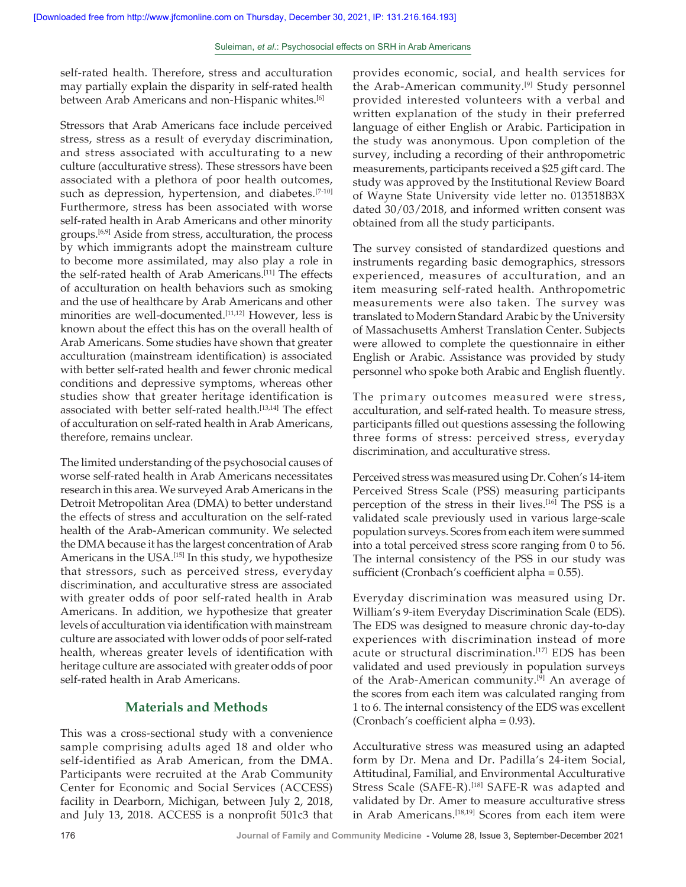self-rated health. Therefore, stress and acculturation may partially explain the disparity in self-rated health between Arab Americans and non-Hispanic whites.<sup>[6]</sup>

Stressors that Arab Americans face include perceived stress, stress as a result of everyday discrimination, and stress associated with acculturating to a new culture (acculturative stress). These stressors have been associated with a plethora of poor health outcomes, such as depression, hypertension, and diabetes.<sup>[7-10]</sup> Furthermore, stress has been associated with worse self-rated health in Arab Americans and other minority groups.[6,9] Aside from stress, acculturation, the process by which immigrants adopt the mainstream culture to become more assimilated, may also play a role in the self-rated health of Arab Americans.<sup>[11]</sup> The effects of acculturation on health behaviors such as smoking and the use of healthcare by Arab Americans and other minorities are well-documented.<sup>[11,12]</sup> However, less is known about the effect this has on the overall health of Arab Americans. Some studies have shown that greater acculturation (mainstream identification) is associated with better self-rated health and fewer chronic medical conditions and depressive symptoms, whereas other studies show that greater heritage identification is associated with better self-rated health.<sup>[13,14]</sup> The effect of acculturation on self-rated health in Arab Americans, therefore, remains unclear.

The limited understanding of the psychosocial causes of worse self-rated health in Arab Americans necessitates research in this area. We surveyed Arab Americans in the Detroit Metropolitan Area (DMA) to better understand the effects of stress and acculturation on the self-rated health of the Arab‑American community. We selected the DMA because it has the largest concentration of Arab Americans in the USA.<sup>[15]</sup> In this study, we hypothesize that stressors, such as perceived stress, everyday discrimination, and acculturative stress are associated with greater odds of poor self-rated health in Arab Americans. In addition, we hypothesize that greater levels of acculturation via identification with mainstream culture are associated with lower odds of poor self-rated health, whereas greater levels of identification with heritage culture are associated with greater odds of poor self-rated health in Arab Americans.

# **Materials and Methods**

This was a cross‑sectional study with a convenience sample comprising adults aged 18 and older who self-identified as Arab American, from the DMA. Participants were recruited at the Arab Community Center for Economic and Social Services (ACCESS) facility in Dearborn, Michigan, between July 2, 2018, and July 13, 2018. ACCESS is a nonprofit 501c3 that

provides economic, social, and health services for the Arab-American community.<sup>[9]</sup> Study personnel provided interested volunteers with a verbal and written explanation of the study in their preferred language of either English or Arabic. Participation in the study was anonymous. Upon completion of the survey, including a recording of their anthropometric measurements, participants received a \$25 gift card. The study was approved by the Institutional Review Board of Wayne State University vide letter no. 013518B3X dated 30/03/2018, and informed written consent was obtained from all the study participants.

The survey consisted of standardized questions and instruments regarding basic demographics, stressors experienced, measures of acculturation, and an item measuring self-rated health. Anthropometric measurements were also taken. The survey was translated to Modern Standard Arabic by the University of Massachusetts Amherst Translation Center. Subjects were allowed to complete the questionnaire in either English or Arabic. Assistance was provided by study personnel who spoke both Arabic and English fluently.

The primary outcomes measured were stress, acculturation, and self-rated health. To measure stress, participants filled out questions assessing the following three forms of stress: perceived stress, everyday discrimination, and acculturative stress.

Perceived stress was measured using Dr. Cohen's 14‑item Perceived Stress Scale (PSS) measuring participants perception of the stress in their lives.<sup>[16]</sup> The PSS is a validated scale previously used in various large-scale population surveys. Scores from each item were summed into a total perceived stress score ranging from 0 to 56. The internal consistency of the PSS in our study was sufficient (Cronbach's coefficient alpha = 0.55).

Everyday discrimination was measured using Dr. William's 9‑item Everyday Discrimination Scale (EDS). The EDS was designed to measure chronic day-to-day experiences with discrimination instead of more acute or structural discrimination.<sup>[17]</sup> EDS has been validated and used previously in population surveys of the Arab-American community.<sup>[9]</sup> An average of the scores from each item was calculated ranging from 1 to 6. The internal consistency of the EDS was excellent (Cronbach's coefficient alpha = 0.93).

Acculturative stress was measured using an adapted form by Dr. Mena and Dr. Padilla's 24‑item Social, Attitudinal, Familial, and Environmental Acculturative Stress Scale (SAFE-R).<sup>[18]</sup> SAFE-R was adapted and validated by Dr. Amer to measure acculturative stress in Arab Americans.<sup>[18,19]</sup> Scores from each item were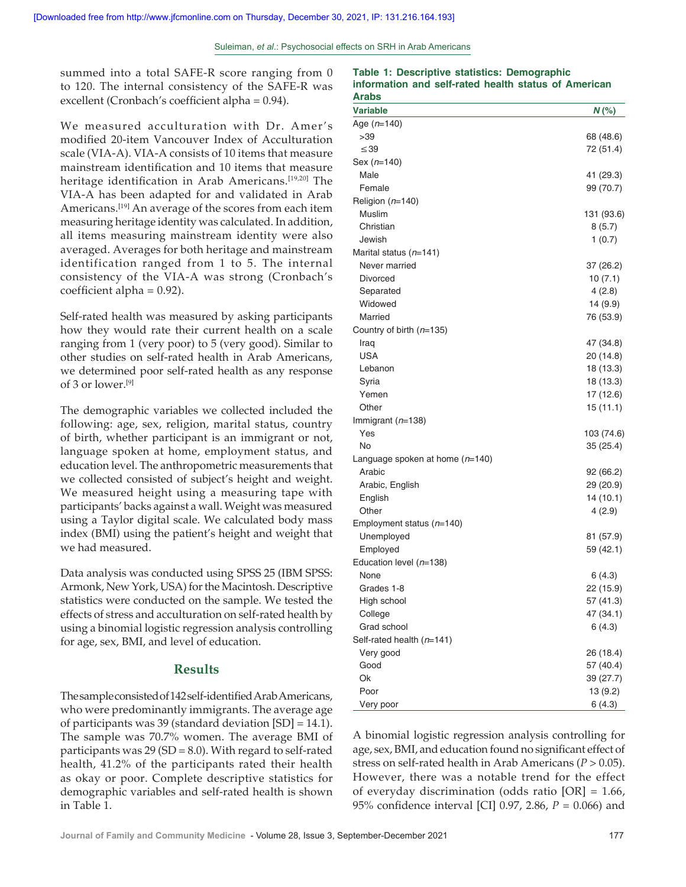summed into a total SAFE-R score ranging from 0 to 120. The internal consistency of the SAFE‑R was excellent (Cronbach's coefficient alpha = 0.94).

We measured acculturation with Dr. Amer's modified 20‑item Vancouver Index of Acculturation scale (VIA-A). VIA-A consists of 10 items that measure mainstream identification and 10 items that measure heritage identification in Arab Americans.[19,20] The VIA‑A has been adapted for and validated in Arab Americans.[19] An average of the scores from each item measuring heritage identity was calculated. In addition, all items measuring mainstream identity were also averaged. Averages for both heritage and mainstream identification ranged from 1 to 5. The internal consistency of the VIA‑A was strong (Cronbach's coefficient alpha = 0.92).

Self-rated health was measured by asking participants how they would rate their current health on a scale ranging from 1 (very poor) to 5 (very good). Similar to other studies on self‑rated health in Arab Americans, we determined poor self-rated health as any response of 3 or lower.[9]

The demographic variables we collected included the following: age, sex, religion, marital status, country of birth, whether participant is an immigrant or not, language spoken at home, employment status, and education level. The anthropometric measurements that we collected consisted of subject's height and weight. We measured height using a measuring tape with participants' backs against a wall. Weight was measured using a Taylor digital scale. We calculated body mass index (BMI) using the patient's height and weight that we had measured.

Data analysis was conducted using SPSS 25 (IBM SPSS: Armonk, New York, USA) for the Macintosh. Descriptive statistics were conducted on the sample. We tested the effects of stress and acculturation on self‑rated health by using a binomial logistic regression analysis controlling for age, sex, BMI, and level of education.

#### **Results**

The sample consisted of 142 self-identified Arab Americans, who were predominantly immigrants. The average age of participants was 39 (standard deviation [SD] = 14.1). The sample was 70.7% women. The average BMI of participants was  $29$  (SD = 8.0). With regard to self-rated health, 41.2% of the participants rated their health as okay or poor. Complete descriptive statistics for demographic variables and self‑rated health is shown in Table 1.

**Table 1: Descriptive statistics: Demographic information and self‑rated health status of American Arabs**

| Aws                               |            |
|-----------------------------------|------------|
| Variable                          | $N$ (%)    |
| Age $(n=140)$                     |            |
| >39                               | 68 (48.6)  |
| $\leq$ 39                         | 72 (51.4)  |
| Sex $(n=140)$                     |            |
| Male                              | 41 (29.3)  |
| Female                            | 99 (70.7)  |
| Religion $(n=140)$                |            |
| Muslim                            | 131 (93.6) |
| Christian                         | 8(5.7)     |
| Jewish                            | 1(0.7)     |
| Marital status $(n=141)$          |            |
| Never married                     | 37 (26.2)  |
| Divorced                          | 10(7.1)    |
| Separated                         | 4(2.8)     |
| Widowed                           | 14 (9.9)   |
| Married                           | 76 (53.9)  |
| Country of birth (n=135)          |            |
| Iraq                              | 47 (34.8)  |
| USA                               | 20 (14.8)  |
| Lebanon                           | 18 (13.3)  |
| Syria                             | 18 (13.3)  |
| Yemen                             | 17 (12.6)  |
| Other                             | 15(11.1)   |
| Immigrant $(n=138)$               |            |
| Yes                               | 103 (74.6) |
| No                                | 35(25.4)   |
| Language spoken at home $(n=140)$ |            |
| Arabic                            | 92 (66.2)  |
| Arabic, English                   | 29 (20.9)  |
| English                           | 14(10.1)   |
| Other                             | 4(2.9)     |
| Employment status (n=140)         |            |
| Unemployed                        | 81 (57.9)  |
| Employed                          | 59 (42.1)  |
| Education level $(n=138)$         |            |
| None                              | 6 (4.3)    |
| Grades 1-8                        | 22 (15.9)  |
| High school                       | 57 (41.3)  |
| College                           | 47 (34.1)  |
| Grad school                       | 6(4.3)     |
| Self-rated health (n=141)         |            |
| Very good                         | 26 (18.4)  |
| Good                              | 57 (40.4)  |
| Ok                                | 39 (27.7)  |
| Poor                              | 13 (9.2)   |
| Very poor                         | 6(4.3)     |

A binomial logistic regression analysis controlling for age, sex, BMI, and education found no significant effect of stress on self-rated health in Arab Americans (*P* > 0.05). However, there was a notable trend for the effect of everyday discrimination (odds ratio [OR] = 1.66, 95% confidence interval [CI] 0.97, 2.86, *P* = 0.066) and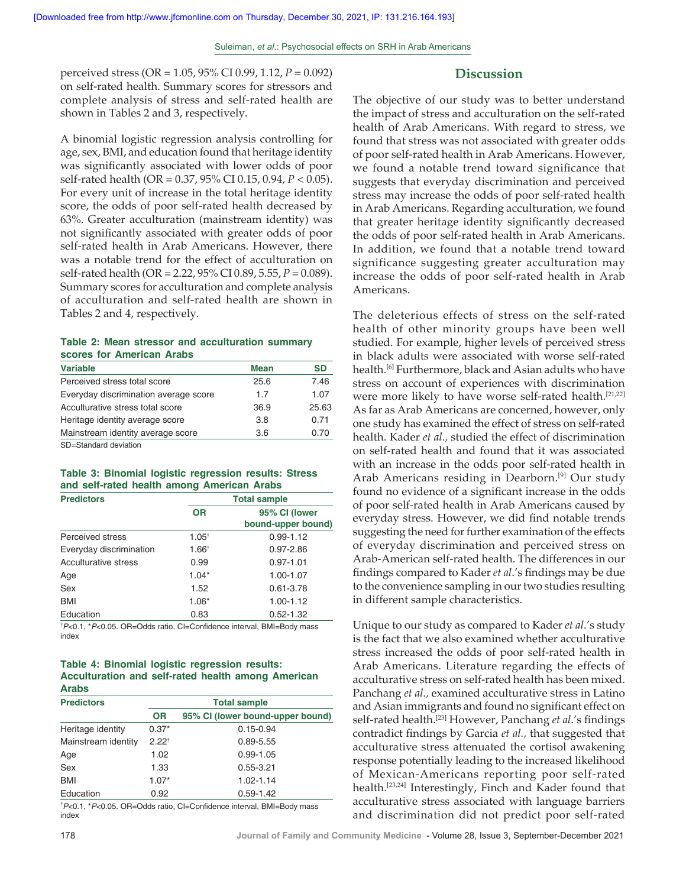perceived stress (OR = 1.05, 95% CI 0.99, 1.12, *P* = 0.092) on self‑rated health. Summary scores for stressors and complete analysis of stress and self‑rated health are shown in Tables 2 and 3, respectively.

A binomial logistic regression analysis controlling for age, sex, BMI, and education found that heritage identity was significantly associated with lower odds of poor self‑rated health (OR = 0.37, 95% CI 0.15, 0.94, *P* < 0.05). For every unit of increase in the total heritage identity score, the odds of poor self-rated health decreased by 63%. Greater acculturation (mainstream identity) was not significantly associated with greater odds of poor self-rated health in Arab Americans. However, there was a notable trend for the effect of acculturation on self-rated health (OR = 2.22, 95% CI 0.89, 5.55, *P* = 0.089). Summary scores for acculturation and complete analysis of acculturation and self‑rated health are shown in Tables 2 and 4, respectively.

#### **Table 2: Mean stressor and acculturation summary scores for American Arabs**

| <b>Variable</b>                       | <b>Mean</b> | SD    |
|---------------------------------------|-------------|-------|
| Perceived stress total score          | 25.6        | 7.46  |
| Everyday discrimination average score | 1.7         | 1.07  |
| Acculturative stress total score      | 36.9        | 25.63 |
| Heritage identity average score       | 3.8         | 0.71  |
| Mainstream identity average score     | 3.6         | 0.70  |
| CD_Ctandard daviation                 |             |       |

SD=Standard deviation

#### **Table 3: Binomial logistic regression results: Stress and self‑rated health among American Arabs**

| <b>Predictors</b>       | <b>Total sample</b> |                                     |  |
|-------------------------|---------------------|-------------------------------------|--|
|                         | <b>OR</b>           | 95% CI (lower<br>bound-upper bound) |  |
| Perceived stress        | $1.05^{\dagger}$    | $0.99 - 1.12$                       |  |
| Everyday discrimination | $1.66^{\dagger}$    | $0.97 - 2.86$                       |  |
| Acculturative stress    | 0.99                | $0.97 - 1.01$                       |  |
| Age                     | $1.04*$             | 1.00-1.07                           |  |
| Sex                     | 1.52                | $0.61 - 3.78$                       |  |
| BMI                     | $1.06*$             | $1.00 - 1.12$                       |  |
| Education               | 0.83                | $0.52 - 1.32$                       |  |

† *P*<0.1, \**P*<0.05. OR=Odds ratio, CI=Confidence interval, BMI=Body mass index

#### **Table 4: Binomial logistic regression results: Acculturation and self‑rated health among American Arabs**

| <b>Predictors</b>   |                   | <b>Total sample</b>              |  |  |
|---------------------|-------------------|----------------------------------|--|--|
|                     | <b>OR</b>         | 95% CI (lower bound-upper bound) |  |  |
| Heritage identity   | $0.37*$           | $0.15 - 0.94$                    |  |  |
| Mainstream identity | 2.22 <sup>†</sup> | $0.89 - 5.55$                    |  |  |
| Age                 | 1.02              | $0.99 - 1.05$                    |  |  |
| Sex                 | 1.33              | $0.55 - 3.21$                    |  |  |
| <b>BMI</b>          | $1.07*$           | $1.02 - 1.14$                    |  |  |
| Education           | 0.92              | $0.59 - 1.42$                    |  |  |

† *P*<0.1, \**P*<0.05. OR=Odds ratio, CI=Confidence interval, BMI=Body mass index

# **Discussion**

The objective of our study was to better understand the impact of stress and acculturation on the self-rated health of Arab Americans. With regard to stress, we found that stress was not associated with greater odds of poor self-rated health in Arab Americans. However, we found a notable trend toward significance that suggests that everyday discrimination and perceived stress may increase the odds of poor self-rated health in Arab Americans. Regarding acculturation, we found that greater heritage identity significantly decreased the odds of poor self-rated health in Arab Americans. In addition, we found that a notable trend toward significance suggesting greater acculturation may increase the odds of poor self-rated health in Arab Americans.

The deleterious effects of stress on the self-rated health of other minority groups have been well studied. For example, higher levels of perceived stress in black adults were associated with worse self-rated health.[6] Furthermore, black and Asian adults who have stress on account of experiences with discrimination were more likely to have worse self-rated health.<sup>[21,22]</sup> As far as Arab Americans are concerned, however, only one study has examined the effect of stress on self-rated health. Kader *et al.,* studied the effect of discrimination on self‑rated health and found that it was associated with an increase in the odds poor self-rated health in Arab Americans residing in Dearborn.<sup>[9]</sup> Our study found no evidence of a significant increase in the odds of poor self‑rated health in Arab Americans caused by everyday stress. However, we did find notable trends suggesting the need for further examination of the effects of everyday discrimination and perceived stress on Arab-American self-rated health. The differences in our findings compared to Kader *et al*.'s findings may be due to the convenience sampling in our two studies resulting in different sample characteristics.

Unique to our study as compared to Kader *et al*.'s study is the fact that we also examined whether acculturative stress increased the odds of poor self-rated health in Arab Americans. Literature regarding the effects of acculturative stress on self-rated health has been mixed. Panchang *et al.,* examined acculturative stress in Latino and Asian immigrants and found no significant effect on self-rated health.<sup>[23]</sup> However, Panchang *et al.'s* findings contradict findings by Garcia *et al.,* that suggested that acculturative stress attenuated the cortisol awakening response potentially leading to the increased likelihood of Mexican-Americans reporting poor self-rated health.<sup>[23,24]</sup> Interestingly, Finch and Kader found that acculturative stress associated with language barriers and discrimination did not predict poor self-rated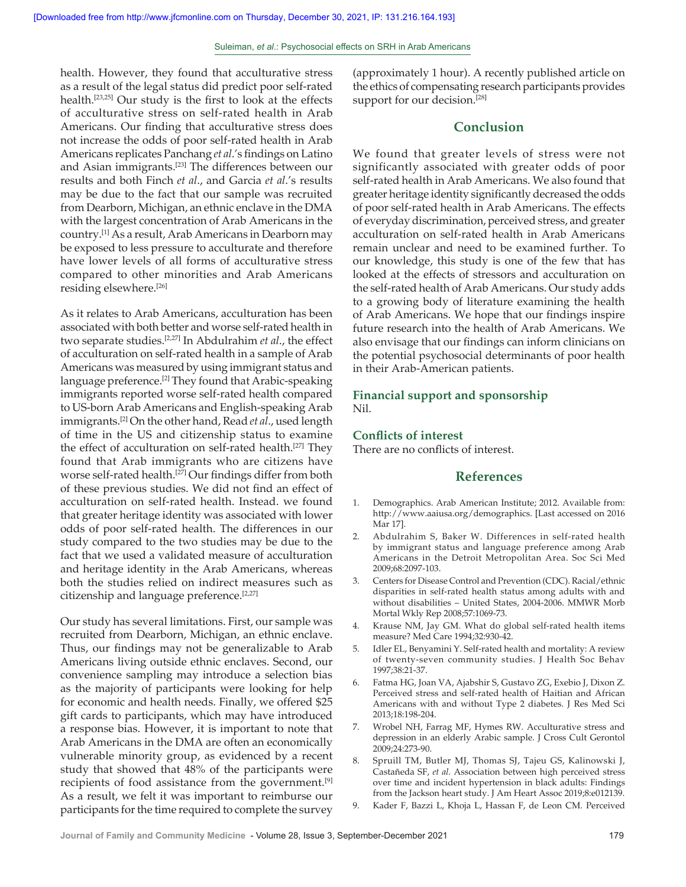health. However, they found that acculturative stress as a result of the legal status did predict poor self-rated health.[23,25] Our study is the first to look at the effects of acculturative stress on self‑rated health in Arab Americans. Our finding that acculturative stress does not increase the odds of poor self-rated health in Arab Americans replicates Panchang *et al*.'s findings on Latino and Asian immigrants.[23] The differences between our results and both Finch *et al*., and Garcia *et al*.'s results may be due to the fact that our sample was recruited from Dearborn, Michigan, an ethnic enclave in the DMA with the largest concentration of Arab Americans in the country.[1] As a result, Arab Americans in Dearborn may be exposed to less pressure to acculturate and therefore have lower levels of all forms of acculturative stress compared to other minorities and Arab Americans residing elsewhere.[26]

As it relates to Arab Americans, acculturation has been associated with both better and worse self-rated health in two separate studies.[2,27] In Abdulrahim *et al*., the effect of acculturation on self‑rated health in a sample of Arab Americans was measured by using immigrant status and language preference.<sup>[2]</sup> They found that Arabic-speaking immigrants reported worse self-rated health compared to US‑born Arab Americans and English‑speaking Arab immigrants.[2] On the other hand, Read *et al*., used length of time in the US and citizenship status to examine the effect of acculturation on self-rated health.<sup>[27]</sup> They found that Arab immigrants who are citizens have worse self-rated health.<sup>[27]</sup> Our findings differ from both of these previous studies. We did not find an effect of acculturation on self‑rated health. Instead. we found that greater heritage identity was associated with lower odds of poor self‑rated health. The differences in our study compared to the two studies may be due to the fact that we used a validated measure of acculturation and heritage identity in the Arab Americans, whereas both the studies relied on indirect measures such as citizenship and language preference.<sup>[2,27]</sup>

Our study has several limitations. First, our sample was recruited from Dearborn, Michigan, an ethnic enclave. Thus, our findings may not be generalizable to Arab Americans living outside ethnic enclaves. Second, our convenience sampling may introduce a selection bias as the majority of participants were looking for help for economic and health needs. Finally, we offered \$25 gift cards to participants, which may have introduced a response bias. However, it is important to note that Arab Americans in the DMA are often an economically vulnerable minority group, as evidenced by a recent study that showed that 48% of the participants were recipients of food assistance from the government.<sup>[9]</sup> As a result, we felt it was important to reimburse our participants for the time required to complete the survey

(approximately 1 hour). A recently published article on the ethics of compensating research participants provides support for our decision.<sup>[28]</sup>

## **Conclusion**

We found that greater levels of stress were not significantly associated with greater odds of poor self-rated health in Arab Americans. We also found that greater heritage identity significantly decreased the odds of poor self‑rated health in Arab Americans. The effects of everyday discrimination, perceived stress, and greater acculturation on self-rated health in Arab Americans remain unclear and need to be examined further. To our knowledge, this study is one of the few that has looked at the effects of stressors and acculturation on the self-rated health of Arab Americans. Our study adds to a growing body of literature examining the health of Arab Americans. We hope that our findings inspire future research into the health of Arab Americans. We also envisage that our findings can inform clinicians on the potential psychosocial determinants of poor health in their Arab‑American patients.

#### **Financial support and sponsorship** Nil.

### **Conflicts of interest**

There are no conflicts of interest.

## **References**

- 1. Demographics. Arab American Institute; 2012. Available from: http://www.aaiusa.org/demographics. [Last accessed on 2016 Mar 17].
- 2. Abdulrahim S, Baker W. Differences in self-rated health by immigrant status and language preference among Arab Americans in the Detroit Metropolitan Area. Soc Sci Med 2009;68:2097‑103.
- 3. Centers for Disease Control and Prevention (CDC). Racial/ethnic disparities in self-rated health status among adults with and without disabilities – United States, 2004‑2006. MMWR Morb Mortal Wkly Rep 2008;57:1069‑73.
- 4. Krause NM, Jay GM. What do global self-rated health items measure? Med Care 1994;32:930‑42.
- 5. Idler EL, Benyamini Y. Self-rated health and mortality: A review of twenty‑seven community studies. J Health Soc Behav 1997;38:21‑37.
- 6. Fatma HG, Joan VA, Ajabshir S, Gustavo ZG, Exebio J, Dixon Z. Perceived stress and self-rated health of Haitian and African Americans with and without Type 2 diabetes. J Res Med Sci 2013;18:198‑204.
- 7. Wrobel NH, Farrag MF, Hymes RW. Acculturative stress and depression in an elderly Arabic sample. J Cross Cult Gerontol 2009;24:273‑90.
- 8. Spruill TM, Butler MJ, Thomas SJ, Tajeu GS, Kalinowski J, Castañeda SF, *et al.* Association between high perceived stress over time and incident hypertension in black adults: Findings from the Jackson heart study. J Am Heart Assoc 2019;8:e012139.
- 9. Kader F, Bazzi L, Khoja L, Hassan F, de Leon CM. Perceived